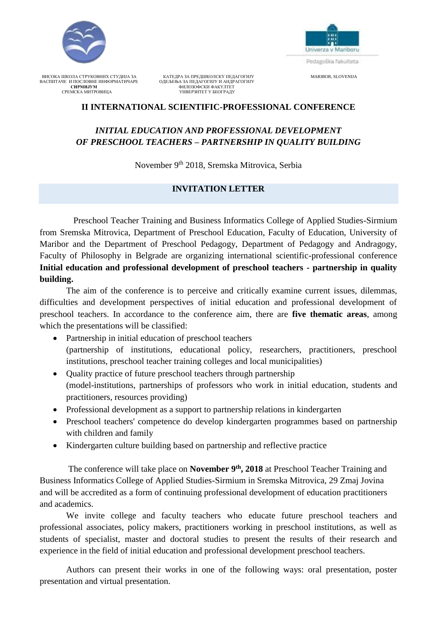



ВИСОКА ШКОЛА СТРУКОВНИХ СТУДИЈА ЗА КАТЕДРА ЗА ПРЕДШКОЛСКУ ПЕДАГОГИЈУ МА КЛЕДО МАКЈВОР, SLOVENIJA ВАСПИТАЧЕ И ПОСЛОВНЕ ИНФОРМАТИЧАРЕ ОДЕЉЕЊА ЗА ПЕДАГОГИЈУ И АНДРАГОГИЈУ ВАСПИТАЧЕ И ПОСЛОВНЕ ИНФОРМАТИЧАРЕ ОДЕЉЕЊА ЗА ПЕДАГОГИЈУ И АНДРАГОГИЈУ **СИРМИЈУМ** ФИЛОЗОФСКИ ФАКУЛТЕТ СРЕМСКА МИТРОВИЦА УНВЕРЗИТЕТ У БЕОГРАДУ

### **II INTERNATIONAL SCIENTIFIC-PROFESSIONAL CONFERENCE**

# *INITIAL EDUCATION AND PROFESSIONAL DEVELOPMENT OF PRESCHOOL TEACHERS – PARTNERSHIP IN QUALITY BUILDING*

November 9<sup>th</sup> 2018, Sremska Mitrovica, Serbia

### **INVITATION LETTER**

Preschool Teacher Training and Business Informatics College of Applied Studies-Sirmium from Sremska Mitrovica, Department of Preschool Education, Faculty of Education, University of Maribor and the Department of Preschool Pedagogy, Department of Pedagogy and Andragogy, Faculty of Philosophy in Belgrade are organizing international scientific-professional conference **Initial education and professional development of preschool teachers - partnership in quality building.** 

The aim of the conference is to perceive and critically examine current issues, dilemmas, difficulties and development perspectives of initial education and professional development of preschool teachers. In accordance to the conference aim, there are **five thematic areas**, among which the presentations will be classified:

- Partnership in initial education of preschool teachers (partnership of institutions, educational policy, researchers, practitioners, preschool institutions, preschool teacher training colleges and local municipalities)
- Quality practice of future preschool teachers through partnership (model-institutions, partnerships of professors who work in initial education, students and practitioners, resources providing)
- Professional development as a support to partnership relations in kindergarten
- Preschool teachers' competence do develop kindergarten programmes based on partnership with children and family
- Kindergarten culture building based on partnership and reflective practice

The conference will take place on **November 9<sup>th</sup>**, 2018 at Preschool Teacher Training and Business Informatics College of Applied Studies-Sirmium in Sremska Mitrovica, 29 Zmaj Jovina and will be accredited as a form of continuing professional development of education practitioners and academics.

We invite college and faculty teachers who educate future preschool teachers and professional associates, policy makers, practitioners working in preschool institutions, as well as students of specialist, master and doctoral studies to present the results of their research and experience in the field of initial education and professional development preschool teachers.

Authors can present their works in one of the following ways: oral presentation, poster presentation and virtual presentation.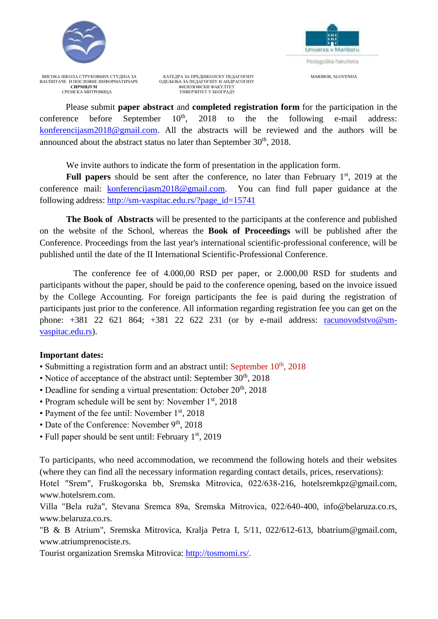



ВИСОКА ШКОЛА СТРУКОВНИХ СТУДИЈА ЗА КАТЕДРА ЗА ПРЕДШКОЛСКУ ПЕДАГОГИЈУ МА КЛЕДО МАКЈВОР, SLOVENIJA ВАСПИТАЧЕ И ПОСЛОВНЕ ИНФОРМАТИЧАРЕ ОДЕЉЕЊА ЗА ПЕДАГОГИЈУ И АНДРАГОГИЈУ ВАСПИТАЧЕ И ПОСЛОВНЕ ИНФОРМАТИЧАРЕ ОДЕЉЕЊА ЗА ПЕДАГОГИЈУ И АНДРАГОГИЈУ **СИРМИЈУМ** ФИЛОЗОФСКИ ФАКУЛТЕТ СРЕМСКА МИТРОВИЦА УНВЕРЗИТЕТ У БЕОГРАДУ

Please submit **paper abstract** and **completed registration form** for the participation in the conference before September 10<sup>th</sup>, 2018 to the the following e-mail address: [konferencijasm2018@gmail.com.](mailto:konferencijasm2018@gmail.com) All the abstracts will be reviewed and the authors will be announced about the abstract status no later than September  $30<sup>th</sup>$ , 2018.

We invite authors to indicate the form of presentation in the application form.

Full papers should be sent after the conference, no later than February 1<sup>st</sup>, 2019 at the conference mail: [konferencijasm2018@gmail.com.](mailto:konferencijasm2018@gmail.com) You can find full paper guidance at the following address: [http://sm-vaspitac.edu.rs/?page\\_id=15741](http://sm-vaspitac.edu.rs/?page_id=15741)

**The Book of Abstracts** will be presented to the participants at the conference and published on the website of the School, whereas the **Book of Proceedings** will be published after the Conference. Proceedings from the last year's international scientific-professional conference, will be published until the date of the II International Scientific-Professional Conference.

The conference fee of 4.000,00 RSD per paper, or 2.000,00 RSD for students and participants without the paper, should be paid to the conference opening, based on the invoice issued by the College Accounting. For foreign participants the fee is paid during the registration of participants just prior to the conference. All information regarding registration fee you can get on the phone:  $+381$  22 621 864;  $+381$  22 622 231 (or by e-mail address: [racunovodstvo@sm](mailto:racunovodstvo@sm-vaspitac.edu.rs)[vaspitac.edu.rs\)](mailto:racunovodstvo@sm-vaspitac.edu.rs).

## **Important dates:**

- Submitting a registration form and an abstract until: September 10<sup>th</sup>, 2018
- Notice of acceptance of the abstract until: September 30<sup>th</sup>, 2018
- Deadline for sending a virtual presentation: October  $20<sup>th</sup>$ , 2018
- Program schedule will be sent by: November  $1<sup>st</sup>$ , 2018
- Payment of the fee until: November 1<sup>st</sup>, 2018
- Date of the Conference: November  $9<sup>th</sup>$ , 2018
- Full paper should be sent until: February  $1<sup>st</sup>$ , 2019

To participants, who need accommodation, we recommend the following hotels and their websites (where they can find all the necessary information regarding contact details, prices, reservations):

Hotel "Srem", Fruškogorska bb, Sremska Mitrovica, 022/638-216, hotelsremkpz@gmail.com, www.hotelsrem.com.

Villa "Bela ruža", Stevana Sremca 89a, Sremska Mitrovica, 022/640-400, info@belaruza.co.rs, www.belaruza.co.rs.

"B & B Atrium", Sremska Mitrovica, Kralja Petra I, 5/11, 022/612-613, bbatrium@gmail.com, www.atriumprenociste.rs.

Tourist organization Sremska Mitrovica: [http://tosmomi.rs/.](http://tosmomi.rs/)